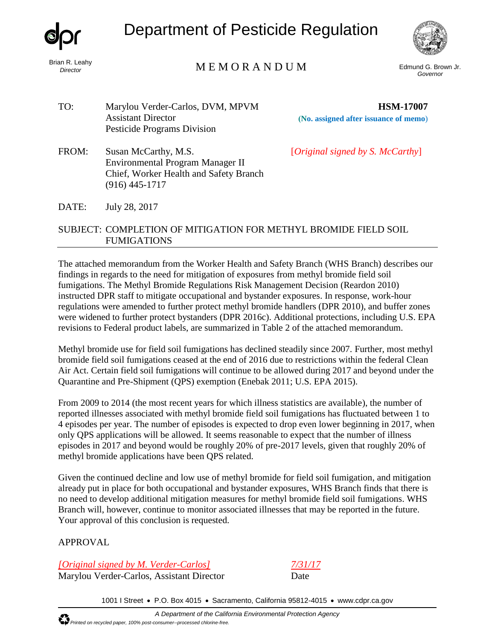

Brian R. Leahy *Director*

Department of Pesticide Regulation



# M E M O R A N D U M

Edmund G. Brown Jr. *Governor*

TO: Marylou Verder-Carlos, DVM, MPVM Assistant Director Pesticide Programs Division

 **HSM-17007 (No. assigned after issuance of memo**)

FROM: Susan McCarthy, M.S. [*Original signed by S. McCarthy*] Environmental Program Manager II Chief, Worker Health and Safety Branch (916) 445-1717

DATE: July 28, 2017

#### SUBJECT: COMPLETION OF MITIGATION FOR METHYL BROMIDE FIELD SOIL FUMIGATIONS

The attached memorandum from the Worker Health and Safety Branch (WHS Branch) describes our findings in regards to the need for mitigation of exposures from methyl bromide field soil fumigations. The Methyl Bromide Regulations Risk Management Decision (Reardon 2010) instructed DPR staff to mitigate occupational and bystander exposures. In response, work-hour regulations were amended to further protect methyl bromide handlers (DPR 2010), and buffer zones were widened to further protect bystanders (DPR 2016c). Additional protections, including U.S. EPA revisions to Federal product labels, are summarized in Table 2 of the attached memorandum.

Methyl bromide use for field soil fumigations has declined steadily since 2007. Further, most methyl bromide field soil fumigations ceased at the end of 2016 due to restrictions within the federal Clean Air Act. Certain field soil fumigations will continue to be allowed during 2017 and beyond under the Quarantine and Pre-Shipment (QPS) exemption (Enebak 2011; U.S. EPA 2015).

From 2009 to 2014 (the most recent years for which illness statistics are available), the number of reported illnesses associated with methyl bromide field soil fumigations has fluctuated between 1 to 4 episodes per year. The number of episodes is expected to drop even lower beginning in 2017, when only QPS applications will be allowed. It seems reasonable to expect that the number of illness episodes in 2017 and beyond would be roughly 20% of pre-2017 levels, given that roughly 20% of methyl bromide applications have been QPS related.

Given the continued decline and low use of methyl bromide for field soil fumigation, and mitigation already put in place for both occupational and bystander exposures, WHS Branch finds that there is no need to develop additional mitigation measures for methyl bromide field soil fumigations. WHS Branch will, however, continue to monitor associated illnesses that may be reported in the future. Your approval of this conclusion is requested.

# APPROVAL

*[Original signed by M. Verder-Carlos] 7/31/17* Marylou Verder-Carlos, Assistant Director Date

1001 I Street • P.O. Box 4015 • Sacramento, California 95812-4015 • [www.cdpr.ca.gov](http://www.cdpr.ca.gov/)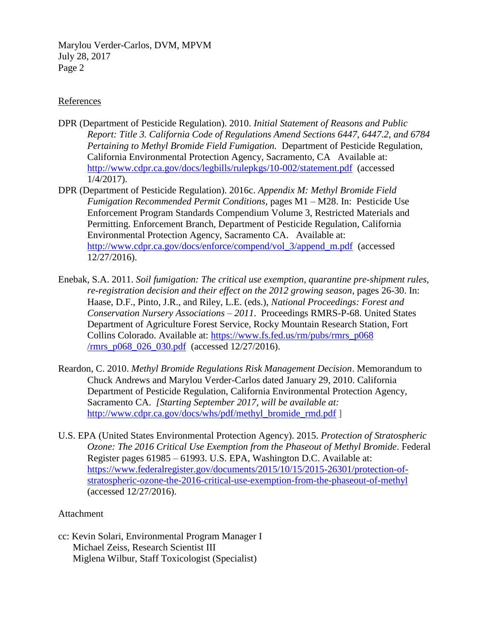Marylou Verder-Carlos, DVM, MPVM July 28, 2017 Page 2

#### References

- DPR (Department of Pesticide Regulation). 2010. *Initial Statement of Reasons and Public Report: Title 3. California Code of Regulations Amend Sections 6447, 6447.2, and 6784 Pertaining to Methyl Bromide Field Fumigation.* Department of Pesticide Regulation, California Environmental Protection Agency, Sacramento, CA Available at: <http://www.cdpr.ca.gov/docs/legbills/rulepkgs/10-002/statement.pdf>(accessed 1/4/2017).
- DPR (Department of Pesticide Regulation). 2016c. *Appendix M: Methyl Bromide Field Fumigation Recommended Permit Conditions*, pages M1 – M28. In: Pesticide Use Enforcement Program Standards Compendium Volume 3, Restricted Materials and Permitting. Enforcement Branch, Department of Pesticide Regulation, California Environmental Protection Agency, Sacramento CA. Available at: [http://www.cdpr.ca.gov/docs/enforce/compend/vol\\_3/append\\_m.pdf](http://www.cdpr.ca.gov/docs/enforce/compend/vol_3/append_m.pdf) (accessed 12/27/2016).
- Enebak, S.A. 2011. *Soil fumigation: The critical use exemption, quarantine pre-shipment rules, re-registration decision and their effect on the 2012 growing season*, pages 26-30. In: Haase, D.F., Pinto, J.R., and Riley, L.E. (eds.), *National Proceedings: Forest and Conservation Nursery Associations – 2011*. Proceedings RMRS-P-68. United States Department of Agriculture Forest Service, Rocky Mountain Research Station, Fort Collins Colorado. Available at: [https://www.fs.fed.us/rm/pubs/rmrs\\_p068](https://www.fs.fed.us/rm/pubs/rmrs_p068/rmrs_p068_026_030.pdf)  [/rmrs\\_p068\\_026\\_030.pdf](https://www.fs.fed.us/rm/pubs/rmrs_p068/rmrs_p068_026_030.pdf) (accessed 12/27/2016).
- Reardon, C. 2010. *Methyl Bromide Regulations Risk Management Decision*. Memorandum to Chuck Andrews and Marylou Verder-Carlos dated January 29, 2010. California Department of Pesticide Regulation, California Environmental Protection Agency, Sacramento CA. *[Starting September 2017, will be available at:*  [http://www.cdpr.ca.gov/docs/whs/pdf/methyl\\_bromide\\_rmd.pdf](http://www.cdpr.ca.gov/docs/whs/pdf/methyl_bromide_rmd.pdf) ]
- U.S. EPA (United States Environmental Protection Agency). 2015. *Protection of Stratospheric Ozone: The 2016 Critical Use Exemption from the Phaseout of Methyl Bromide*. Federal Register pages 61985 – 61993. U.S. EPA, Washington D.C. Available at: [https://www.federalregister.gov/documents/2015/10/15/2015-26301/protection-of](https://www.federalregister.gov/documents/2015/10/15/2015-26301/protection-of-stratospheric-ozone-the-2016-critical-use-exemption-from-the-phaseout-of-methyl)[stratospheric-ozone-the-2016-critical-use-exemption-from-the-phaseout-of-methyl](https://www.federalregister.gov/documents/2015/10/15/2015-26301/protection-of-stratospheric-ozone-the-2016-critical-use-exemption-from-the-phaseout-of-methyl)  (accessed 12/27/2016).

#### Attachment

cc: Kevin Solari, Environmental Program Manager I Michael Zeiss, Research Scientist III Miglena Wilbur, Staff Toxicologist (Specialist)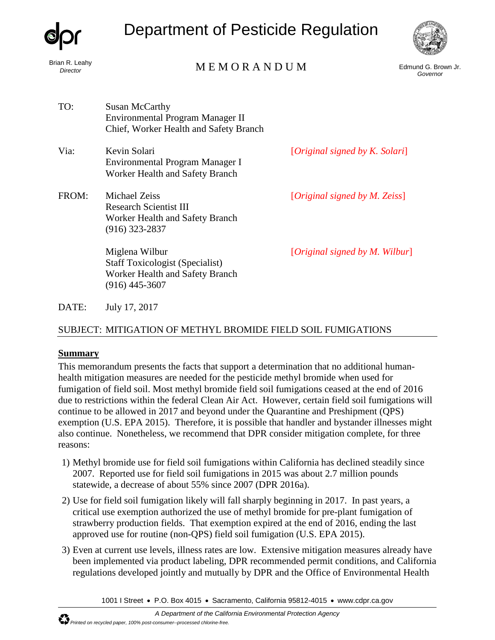| dor |
|-----|
|-----|

Brian R. Leahy *Director*

# Department of Pesticide Regulation



# M E M O R A N D U M

Edmund G. Brown Jr. *Governor*

- TO: Susan McCarthy Environmental Program Manager II Chief, Worker Health and Safety Branch
- Via: Kevin Solari *Mexican* **Example 2.1** *Kevin Solari Constanting Constanting Constanting Constanting Constanting Constanting Constanting Constanting Constanting Constanting Constanting Constanting Constanting Const* Environmental Program Manager I Worker Health and Safety Branch
- FROM: Michael Zeiss [*Original signed by M. Zeiss*] Research Scientist III Worker Health and Safety Branch (916) 323-2837

(916) 445-3607

Worker Health and Safety Branch

Miglena Wilbur [*Original signed by M. Wilbur*] Staff Toxicologist (Specialist)

DATE: July 17, 2017

# SUBJECT: MITIGATION OF METHYL BROMIDE FIELD SOIL FUMIGATIONS

#### **Summary**

This memorandum presents the facts that support a determination that no additional humanhealth mitigation measures are needed for the pesticide methyl bromide when used for fumigation of field soil. Most methyl bromide field soil fumigations ceased at the end of 2016 due to restrictions within the federal Clean Air Act. However, certain field soil fumigations will continue to be allowed in 2017 and beyond under the Quarantine and Preshipment (QPS) exemption (U.S. EPA 2015). Therefore, it is possible that handler and bystander illnesses might also continue. Nonetheless, we recommend that DPR consider mitigation complete, for three reasons:

- 1) Methyl bromide use for field soil fumigations within California has declined steadily since 2007. Reported use for field soil fumigations in 2015 was about 2.7 million pounds statewide, a decrease of about 55% since 2007 (DPR 2016a).
- 2) Use for field soil fumigation likely will fall sharply beginning in 2017. In past years, a critical use exemption authorized the use of methyl bromide for pre-plant fumigation of strawberry production fields. That exemption expired at the end of 2016, ending the last approved use for routine (non-QPS) field soil fumigation (U.S. EPA 2015).
- 3) Even at current use levels, illness rates are low. Extensive mitigation measures already have been implemented via product labeling, DPR recommended permit conditions, and California regulations developed jointly and mutually by DPR and the Office of Environmental Health

1001 I Street • P.O. Box 4015 • Sacramento, California 95812-4015 • [www.cdpr.ca.gov](http://www.cdpr.ca.gov/)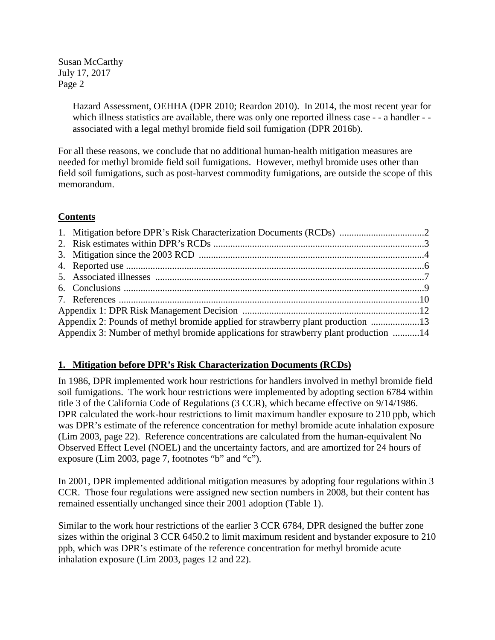> Hazard Assessment, OEHHA (DPR 2010; Reardon 2010). In 2014, the most recent year for which illness statistics are available, there was only one reported illness case - - a handler - associated with a legal methyl bromide field soil fumigation (DPR 2016b).

For all these reasons, we conclude that no additional human-health mitigation measures are needed for methyl bromide field soil fumigations. However, methyl bromide uses other than field soil fumigations, such as post-harvest commodity fumigations, are outside the scope of this memorandum.

## **Contents**

| Appendix 2: Pounds of methyl bromide applied for strawberry plant production 13      |  |
|--------------------------------------------------------------------------------------|--|
| Appendix 3: Number of methyl bromide applications for strawberry plant production 14 |  |

#### **1. Mitigation before DPR's Risk Characterization Documents (RCDs)**

In 1986, DPR implemented work hour restrictions for handlers involved in methyl bromide field soil fumigations. The work hour restrictions were implemented by adopting section 6784 within title 3 of the California Code of Regulations (3 CCR), which became effective on 9/14/1986. DPR calculated the work-hour restrictions to limit maximum handler exposure to 210 ppb, which was DPR's estimate of the reference concentration for methyl bromide acute inhalation exposure (Lim 2003, page 22). Reference concentrations are calculated from the human-equivalent No Observed Effect Level (NOEL) and the uncertainty factors, and are amortized for 24 hours of exposure (Lim 2003, page 7, footnotes "b" and "c").

In 2001, DPR implemented additional mitigation measures by adopting four regulations within 3 CCR. Those four regulations were assigned new section numbers in 2008, but their content has remained essentially unchanged since their 2001 adoption (Table 1).

Similar to the work hour restrictions of the earlier 3 CCR 6784, DPR designed the buffer zone sizes within the original 3 CCR 6450.2 to limit maximum resident and bystander exposure to 210 ppb, which was DPR's estimate of the reference concentration for methyl bromide acute inhalation exposure (Lim 2003, pages 12 and 22).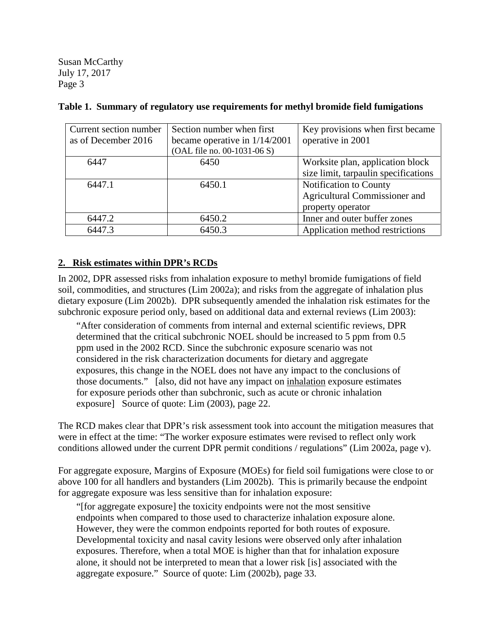| Current section number | Section number when first       | Key provisions when first became     |
|------------------------|---------------------------------|--------------------------------------|
| as of December 2016    | became operative in $1/14/2001$ | operative in 2001                    |
|                        | (OAL file no. 00-1031-06 S)     |                                      |
| 6447                   | 6450                            | Worksite plan, application block     |
|                        |                                 | size limit, tarpaulin specifications |
| 6447.1                 | 6450.1                          | Notification to County               |
|                        |                                 | Agricultural Commissioner and        |
|                        |                                 | property operator                    |
| 6447.2                 | 6450.2                          | Inner and outer buffer zones         |
| 6447.3                 | 6450.3                          | Application method restrictions      |

**Table 1. Summary of regulatory use requirements for methyl bromide field fumigations**

#### **2. Risk estimates within DPR's RCDs**

In 2002, DPR assessed risks from inhalation exposure to methyl bromide fumigations of field soil, commodities, and structures (Lim 2002a); and risks from the aggregate of inhalation plus dietary exposure (Lim 2002b). DPR subsequently amended the inhalation risk estimates for the subchronic exposure period only, based on additional data and external reviews (Lim 2003):

"After consideration of comments from internal and external scientific reviews, DPR determined that the critical subchronic NOEL should be increased to 5 ppm from 0.5 ppm used in the 2002 RCD. Since the subchronic exposure scenario was not considered in the risk characterization documents for dietary and aggregate exposures, this change in the NOEL does not have any impact to the conclusions of those documents." [also, did not have any impact on inhalation exposure estimates for exposure periods other than subchronic, such as acute or chronic inhalation exposure] Source of quote: Lim (2003), page 22.

The RCD makes clear that DPR's risk assessment took into account the mitigation measures that were in effect at the time: "The worker exposure estimates were revised to reflect only work conditions allowed under the current DPR permit conditions / regulations" (Lim 2002a, page v).

For aggregate exposure, Margins of Exposure (MOEs) for field soil fumigations were close to or above 100 for all handlers and bystanders (Lim 2002b). This is primarily because the endpoint for aggregate exposure was less sensitive than for inhalation exposure:

"[for aggregate exposure] the toxicity endpoints were not the most sensitive endpoints when compared to those used to characterize inhalation exposure alone. However, they were the common endpoints reported for both routes of exposure. Developmental toxicity and nasal cavity lesions were observed only after inhalation exposures. Therefore, when a total MOE is higher than that for inhalation exposure alone, it should not be interpreted to mean that a lower risk [is] associated with the aggregate exposure." Source of quote: Lim (2002b), page 33.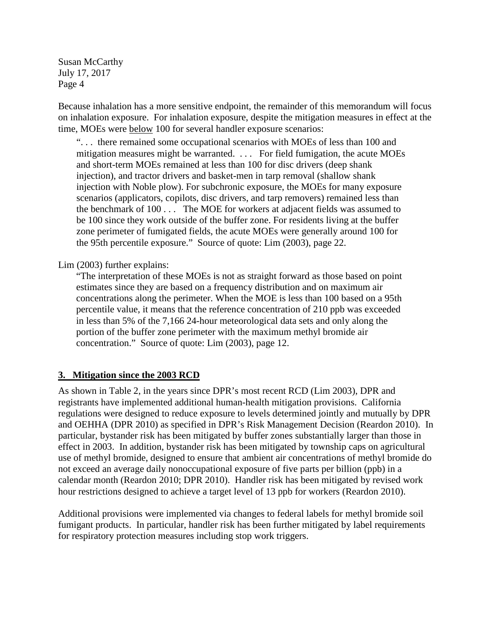Because inhalation has a more sensitive endpoint, the remainder of this memorandum will focus on inhalation exposure. For inhalation exposure, despite the mitigation measures in effect at the time, MOEs were below 100 for several handler exposure scenarios:

". . . there remained some occupational scenarios with MOEs of less than 100 and mitigation measures might be warranted. . . . For field fumigation, the acute MOEs and short-term MOEs remained at less than 100 for disc drivers (deep shank injection), and tractor drivers and basket-men in tarp removal (shallow shank injection with Noble plow). For subchronic exposure, the MOEs for many exposure scenarios (applicators, copilots, disc drivers, and tarp removers) remained less than the benchmark of 100 . . . The MOE for workers at adjacent fields was assumed to be 100 since they work outside of the buffer zone. For residents living at the buffer zone perimeter of fumigated fields, the acute MOEs were generally around 100 for the 95th percentile exposure." Source of quote: Lim (2003), page 22.

Lim (2003) further explains:

"The interpretation of these MOEs is not as straight forward as those based on point estimates since they are based on a frequency distribution and on maximum air concentrations along the perimeter. When the MOE is less than 100 based on a 95th percentile value, it means that the reference concentration of 210 ppb was exceeded in less than 5% of the 7,166 24-hour meteorological data sets and only along the portion of the buffer zone perimeter with the maximum methyl bromide air concentration." Source of quote: Lim (2003), page 12.

#### **3. Mitigation since the 2003 RCD**

As shown in Table 2, in the years since DPR's most recent RCD (Lim 2003), DPR and registrants have implemented additional human-health mitigation provisions. California regulations were designed to reduce exposure to levels determined jointly and mutually by DPR and OEHHA (DPR 2010) as specified in DPR's Risk Management Decision (Reardon 2010). In particular, bystander risk has been mitigated by buffer zones substantially larger than those in effect in 2003. In addition, bystander risk has been mitigated by township caps on agricultural use of methyl bromide, designed to ensure that ambient air concentrations of methyl bromide do not exceed an average daily nonoccupational exposure of five parts per billion (ppb) in a calendar month (Reardon 2010; DPR 2010). Handler risk has been mitigated by revised work hour restrictions designed to achieve a target level of 13 ppb for workers (Reardon 2010).

Additional provisions were implemented via changes to federal labels for methyl bromide soil fumigant products. In particular, handler risk has been further mitigated by label requirements for respiratory protection measures including stop work triggers.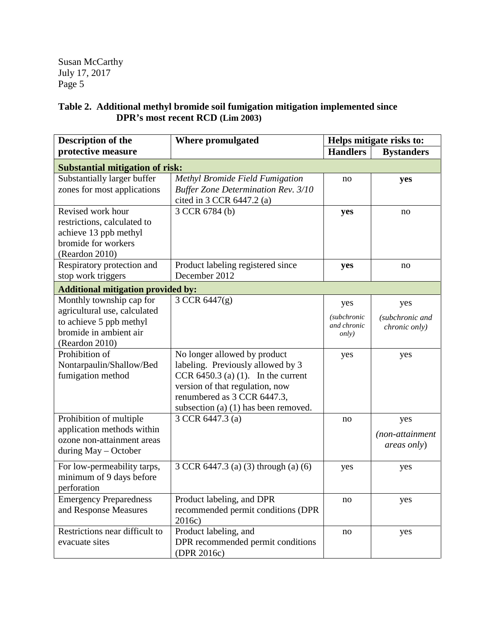# **Table 2. Additional methyl bromide soil fumigation mitigation implemented since DPR's most recent RCD (Lim 2003)**

| Description of the                                                                                                              | <b>Where promulgated</b>                                                                                                                                                                                               | Helps mitigate risks to:                                  |                                         |  |  |  |  |
|---------------------------------------------------------------------------------------------------------------------------------|------------------------------------------------------------------------------------------------------------------------------------------------------------------------------------------------------------------------|-----------------------------------------------------------|-----------------------------------------|--|--|--|--|
| protective measure                                                                                                              |                                                                                                                                                                                                                        | <b>Handlers</b>                                           | <b>Bystanders</b>                       |  |  |  |  |
| <b>Substantial mitigation of risk:</b>                                                                                          |                                                                                                                                                                                                                        |                                                           |                                         |  |  |  |  |
| Substantially larger buffer<br>zones for most applications                                                                      | Methyl Bromide Field Fumigation<br><b>Buffer Zone Determination Rev. 3/10</b><br>cited in 3 CCR 6447.2 (a)                                                                                                             | no                                                        | yes                                     |  |  |  |  |
| Revised work hour<br>restrictions, calculated to<br>achieve 13 ppb methyl<br>bromide for workers<br>(Reardon 2010)              | 3 CCR 6784 (b)                                                                                                                                                                                                         | yes                                                       | no                                      |  |  |  |  |
| Respiratory protection and<br>stop work triggers                                                                                | Product labeling registered since<br>December 2012                                                                                                                                                                     | yes                                                       | no                                      |  |  |  |  |
| <b>Additional mitigation provided by:</b>                                                                                       |                                                                                                                                                                                                                        |                                                           |                                         |  |  |  |  |
| Monthly township cap for<br>agricultural use, calculated<br>to achieve 5 ppb methyl<br>bromide in ambient air<br>(Reardon 2010) | 3 CCR 6447(g)                                                                                                                                                                                                          | yes<br><i>(subchronic</i><br>and chronic<br><i>only</i> ) | yes<br>(subchronic and<br>chronic only) |  |  |  |  |
| Prohibition of<br>Nontarpaulin/Shallow/Bed<br>fumigation method                                                                 | No longer allowed by product<br>labeling. Previously allowed by 3<br>CCR 6450.3 (a) $(1)$ . In the current<br>version of that regulation, now<br>renumbered as 3 CCR 6447.3,<br>subsection (a) $(1)$ has been removed. | yes                                                       | yes                                     |  |  |  |  |
| Prohibition of multiple<br>application methods within<br>ozone non-attainment areas<br>during May - October                     | 3 CCR 6447.3 (a)                                                                                                                                                                                                       | no                                                        | yes<br>(non-attainment<br>areas only)   |  |  |  |  |
| For low-permeability tarps,<br>minimum of 9 days before<br>perforation                                                          | 3 CCR 6447.3 (a) (3) through (a) (6)                                                                                                                                                                                   | yes                                                       | yes                                     |  |  |  |  |
| <b>Emergency Preparedness</b><br>and Response Measures                                                                          | Product labeling, and DPR<br>recommended permit conditions (DPR<br>2016c)                                                                                                                                              | no                                                        | yes                                     |  |  |  |  |
| Restrictions near difficult to<br>evacuate sites                                                                                | Product labeling, and<br>DPR recommended permit conditions<br>(DPR 2016c)                                                                                                                                              | no                                                        | yes                                     |  |  |  |  |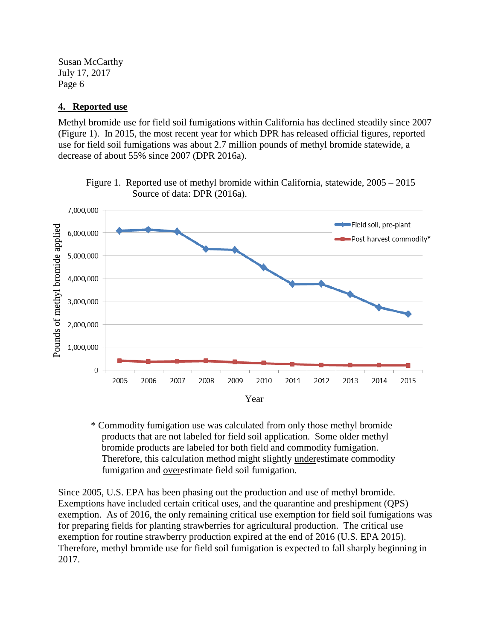#### **4. Reported use**

Methyl bromide use for field soil fumigations within California has declined steadily since 2007 (Figure 1). In 2015, the most recent year for which DPR has released official figures, reported use for field soil fumigations was about 2.7 million pounds of methyl bromide statewide, a decrease of about 55% since 2007 (DPR 2016a).



Figure 1. Reported use of methyl bromide within California, statewide, 2005 – 2015 Source of data: DPR (2016a).

\* Commodity fumigation use was calculated from only those methyl bromide products that are not labeled for field soil application. Some older methyl bromide products are labeled for both field and commodity fumigation. Therefore, this calculation method might slightly underestimate commodity fumigation and overestimate field soil fumigation.

Since 2005, U.S. EPA has been phasing out the production and use of methyl bromide. Exemptions have included certain critical uses, and the quarantine and preshipment (QPS) exemption. As of 2016, the only remaining critical use exemption for field soil fumigations was for preparing fields for planting strawberries for agricultural production. The critical use exemption for routine strawberry production expired at the end of 2016 (U.S. EPA 2015). Therefore, methyl bromide use for field soil fumigation is expected to fall sharply beginning in 2017.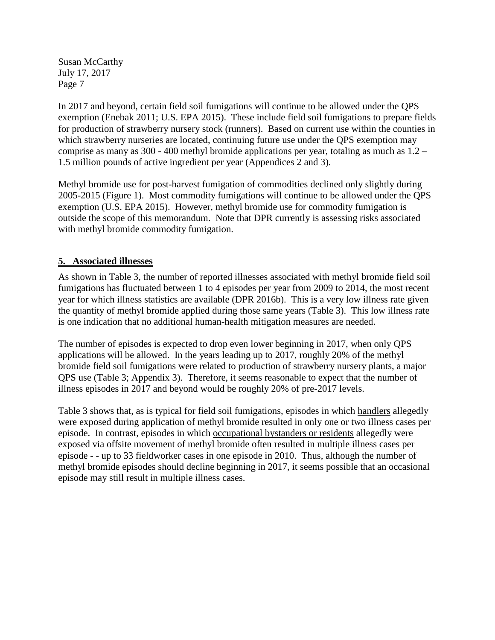In 2017 and beyond, certain field soil fumigations will continue to be allowed under the QPS exemption (Enebak 2011; U.S. EPA 2015). These include field soil fumigations to prepare fields for production of strawberry nursery stock (runners). Based on current use within the counties in which strawberry nurseries are located, continuing future use under the QPS exemption may comprise as many as 300 - 400 methyl bromide applications per year, totaling as much as 1.2 – 1.5 million pounds of active ingredient per year (Appendices 2 and 3).

Methyl bromide use for post-harvest fumigation of commodities declined only slightly during 2005-2015 (Figure 1). Most commodity fumigations will continue to be allowed under the QPS exemption (U.S. EPA 2015). However, methyl bromide use for commodity fumigation is outside the scope of this memorandum. Note that DPR currently is assessing risks associated with methyl bromide commodity fumigation.

#### **5. Associated illnesses**

As shown in Table 3, the number of reported illnesses associated with methyl bromide field soil fumigations has fluctuated between 1 to 4 episodes per year from 2009 to 2014, the most recent year for which illness statistics are available (DPR 2016b). This is a very low illness rate given the quantity of methyl bromide applied during those same years (Table 3). This low illness rate is one indication that no additional human-health mitigation measures are needed.

The number of episodes is expected to drop even lower beginning in 2017, when only QPS applications will be allowed. In the years leading up to 2017, roughly 20% of the methyl bromide field soil fumigations were related to production of strawberry nursery plants, a major QPS use (Table 3; Appendix 3). Therefore, it seems reasonable to expect that the number of illness episodes in 2017 and beyond would be roughly 20% of pre-2017 levels.

Table 3 shows that, as is typical for field soil fumigations, episodes in which handlers allegedly were exposed during application of methyl bromide resulted in only one or two illness cases per episode. In contrast, episodes in which occupational bystanders or residents allegedly were exposed via offsite movement of methyl bromide often resulted in multiple illness cases per episode - - up to 33 fieldworker cases in one episode in 2010. Thus, although the number of methyl bromide episodes should decline beginning in 2017, it seems possible that an occasional episode may still result in multiple illness cases.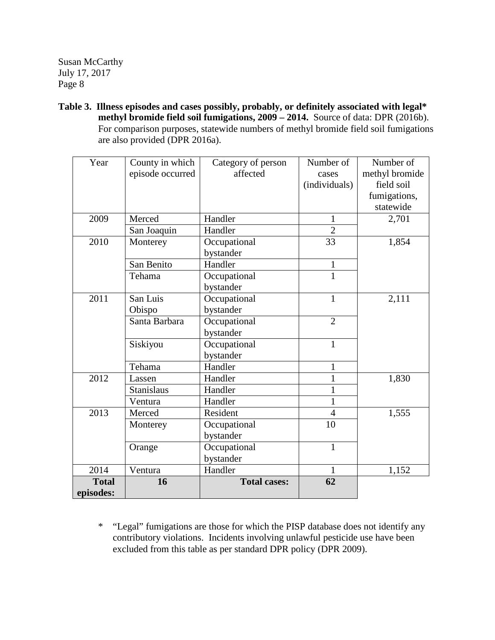**Table 3. Illness episodes and cases possibly, probably, or definitely associated with legal\* methyl bromide field soil fumigations, 2009 – 2014.** Source of data: DPR (2016b). For comparison purposes, statewide numbers of methyl bromide field soil fumigations are also provided (DPR 2016a).

| Year         | County in which   | Category of person  | Number of      | Number of      |
|--------------|-------------------|---------------------|----------------|----------------|
|              | episode occurred  | affected            | cases          | methyl bromide |
|              |                   |                     | (individuals)  | field soil     |
|              |                   |                     |                | fumigations,   |
|              |                   |                     |                | statewide      |
| 2009         | Merced            | Handler             | $\mathbf{1}$   | 2,701          |
|              | San Joaquin       | Handler             | $\overline{2}$ |                |
| 2010         | Monterey          | Occupational        | 33             | 1,854          |
|              |                   | bystander           |                |                |
|              | San Benito        | Handler             | $\mathbf{1}$   |                |
|              | Tehama            | Occupational        | $\overline{1}$ |                |
|              |                   | bystander           |                |                |
| 2011         | San Luis          | Occupational        | $\mathbf{1}$   | 2,111          |
|              | Obispo            | bystander           |                |                |
|              | Santa Barbara     | Occupational        | $\overline{2}$ |                |
|              |                   | bystander           |                |                |
|              | Siskiyou          | Occupational        | $\mathbf{1}$   |                |
|              |                   | bystander           |                |                |
|              | Tehama            | Handler             | $\mathbf{1}$   |                |
| 2012         | Lassen            | Handler             | $\mathbf{1}$   | 1,830          |
|              | <b>Stanislaus</b> | Handler             | 1              |                |
|              | Ventura           | Handler             | $\mathbf{1}$   |                |
| 2013         | Merced            | Resident            | 4              | 1,555          |
|              | Monterey          | Occupational        | 10             |                |
|              |                   | bystander           |                |                |
|              | Orange            | Occupational        | $\mathbf{1}$   |                |
|              |                   | bystander           |                |                |
| 2014         | Ventura           | Handler             | $\mathbf{1}$   | 1,152          |
| <b>Total</b> | 16                | <b>Total cases:</b> | 62             |                |
| episodes:    |                   |                     |                |                |

\* "Legal" fumigations are those for which the PISP database does not identify any contributory violations. Incidents involving unlawful pesticide use have been excluded from this table as per standard DPR policy (DPR 2009).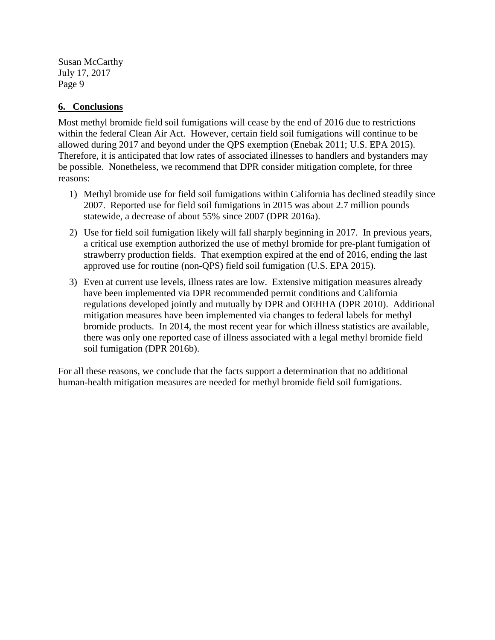#### **6. Conclusions**

Most methyl bromide field soil fumigations will cease by the end of 2016 due to restrictions within the federal Clean Air Act. However, certain field soil fumigations will continue to be allowed during 2017 and beyond under the QPS exemption (Enebak 2011; U.S. EPA 2015). Therefore, it is anticipated that low rates of associated illnesses to handlers and bystanders may be possible. Nonetheless, we recommend that DPR consider mitigation complete, for three reasons:

- 1) Methyl bromide use for field soil fumigations within California has declined steadily since 2007. Reported use for field soil fumigations in 2015 was about 2.7 million pounds statewide, a decrease of about 55% since 2007 (DPR 2016a).
- 2) Use for field soil fumigation likely will fall sharply beginning in 2017. In previous years, a critical use exemption authorized the use of methyl bromide for pre-plant fumigation of strawberry production fields. That exemption expired at the end of 2016, ending the last approved use for routine (non-QPS) field soil fumigation (U.S. EPA 2015).
- 3) Even at current use levels, illness rates are low. Extensive mitigation measures already have been implemented via DPR recommended permit conditions and California regulations developed jointly and mutually by DPR and OEHHA (DPR 2010). Additional mitigation measures have been implemented via changes to federal labels for methyl bromide products. In 2014, the most recent year for which illness statistics are available, there was only one reported case of illness associated with a legal methyl bromide field soil fumigation (DPR 2016b).

For all these reasons, we conclude that the facts support a determination that no additional human-health mitigation measures are needed for methyl bromide field soil fumigations.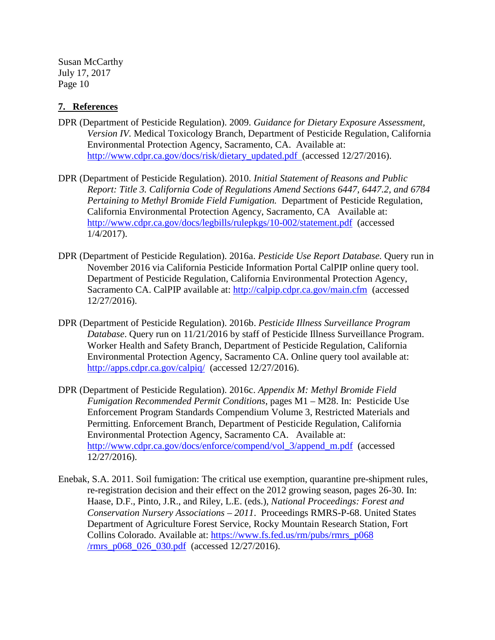#### **7. References**

- DPR (Department of Pesticide Regulation). 2009. *Guidance for Dietary Exposure Assessment, Version IV.* Medical Toxicology Branch, Department of Pesticide Regulation, California Environmental Protection Agency, Sacramento, CA. Available at: [http://www.cdpr.ca.gov/docs/risk/dietary\\_updated.pdf](http://www.cdpr.ca.gov/docs/risk/dietary_updated.pdf) (accessed 12/27/2016).
- DPR (Department of Pesticide Regulation). 2010. *Initial Statement of Reasons and Public Report: Title 3. California Code of Regulations Amend Sections 6447, 6447.2, and 6784 Pertaining to Methyl Bromide Field Fumigation.* Department of Pesticide Regulation, California Environmental Protection Agency, Sacramento, CA Available at: <http://www.cdpr.ca.gov/docs/legbills/rulepkgs/10-002/statement.pdf>(accessed 1/4/2017).
- DPR (Department of Pesticide Regulation). 2016a. *Pesticide Use Report Database.* Query run in November 2016 via California Pesticide Information Portal CalPIP online query tool. Department of Pesticide Regulation, California Environmental Protection Agency, Sacramento CA. CalPIP available at:<http://calpip.cdpr.ca.gov/main.cfm>(accessed 12/27/2016).
- DPR (Department of Pesticide Regulation). 2016b. *Pesticide Illness Surveillance Program Database*. Query run on 11/21/2016 by staff of Pesticide Illness Surveillance Program. Worker Health and Safety Branch, Department of Pesticide Regulation, California Environmental Protection Agency, Sacramento CA. Online query tool available at: <http://apps.cdpr.ca.gov/calpiq/>(accessed 12/27/2016).
- DPR (Department of Pesticide Regulation). 2016c. *Appendix M: Methyl Bromide Field Fumigation Recommended Permit Conditions*, pages M1 – M28. In: Pesticide Use Enforcement Program Standards Compendium Volume 3, Restricted Materials and Permitting. Enforcement Branch, Department of Pesticide Regulation, California Environmental Protection Agency, Sacramento CA. Available at: [http://www.cdpr.ca.gov/docs/enforce/compend/vol\\_3/append\\_m.pdf](http://www.cdpr.ca.gov/docs/enforce/compend/vol_3/append_m.pdf) (accessed 12/27/2016).
- Enebak, S.A. 2011. Soil fumigation: The critical use exemption, quarantine pre-shipment rules, re-registration decision and their effect on the 2012 growing season, pages 26-30. In: Haase, D.F., Pinto, J.R., and Riley, L.E. (eds.), *National Proceedings: Forest and Conservation Nursery Associations – 2011*. Proceedings RMRS-P-68. United States Department of Agriculture Forest Service, Rocky Mountain Research Station, Fort Collins Colorado. Available at: [https://www.fs.fed.us/rm/pubs/rmrs\\_p068](https://www.fs.fed.us/rm/pubs/rmrs_p068/rmrs_p068_026_030.pdf)  [/rmrs\\_p068\\_026\\_030.pdf](https://www.fs.fed.us/rm/pubs/rmrs_p068/rmrs_p068_026_030.pdf) (accessed 12/27/2016).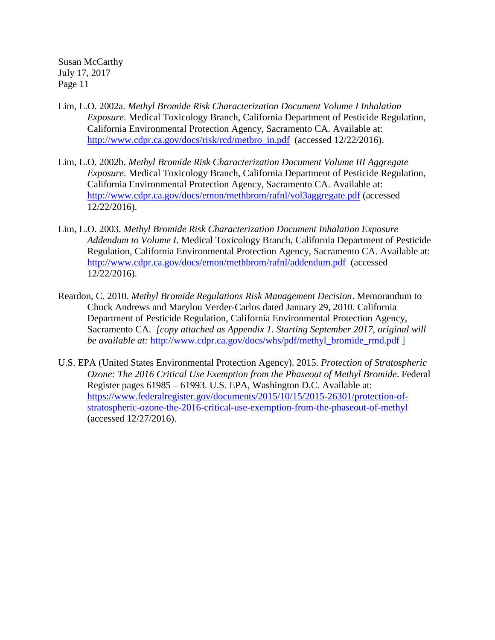- Lim, L.O. 2002a. *Methyl Bromide Risk Characterization Document Volume I Inhalation Exposure*. Medical Toxicology Branch, California Department of Pesticide Regulation, California Environmental Protection Agency, Sacramento CA. Available at: [http://www.cdpr.ca.gov/docs/risk/rcd/metbro\\_in.pdf](http://www.cdpr.ca.gov/docs/risk/rcd/metbro_in.pdf) (accessed 12/22/2016).
- Lim, L.O. 2002b. *Methyl Bromide Risk Characterization Document Volume III Aggregate Exposure*. Medical Toxicology Branch, California Department of Pesticide Regulation, California Environmental Protection Agency, Sacramento CA. Available at: <http://www.cdpr.ca.gov/docs/emon/methbrom/rafnl/vol3aggregate.pdf> (accessed 12/22/2016).
- Lim, L.O. 2003. *Methyl Bromide Risk Characterization Document Inhalation Exposure Addendum to Volume I*. Medical Toxicology Branch, California Department of Pesticide Regulation, California Environmental Protection Agency, Sacramento CA. Available at: <http://www.cdpr.ca.gov/docs/emon/methbrom/rafnl/addendum.pdf>(accessed 12/22/2016).
- Reardon, C. 2010. *Methyl Bromide Regulations Risk Management Decision*. Memorandum to Chuck Andrews and Marylou Verder-Carlos dated January 29, 2010. California Department of Pesticide Regulation, California Environmental Protection Agency, Sacramento CA. *[copy attached as Appendix 1. Starting September 2017, original will be available at: [http://www.cdpr.ca.gov/docs/whs/pdf/methyl\\_bromide\\_rmd.pdf](http://www.cdpr.ca.gov/docs/whs/pdf/methyl_bromide_rmd.pdf)* ]
- U.S. EPA (United States Environmental Protection Agency). 2015. *Protection of Stratospheric Ozone: The 2016 Critical Use Exemption from the Phaseout of Methyl Bromide*. Federal Register pages 61985 – 61993. U.S. EPA, Washington D.C. Available at: [https://www.federalregister.gov/documents/2015/10/15/2015-26301/protection-of](https://www.federalregister.gov/documents/2015/10/15/2015-26301/protection-of-stratospheric-ozone-the-2016-critical-use-exemption-from-the-phaseout-of-methyl)[stratospheric-ozone-the-2016-critical-use-exemption-from-the-phaseout-of-methyl](https://www.federalregister.gov/documents/2015/10/15/2015-26301/protection-of-stratospheric-ozone-the-2016-critical-use-exemption-from-the-phaseout-of-methyl)  (accessed 12/27/2016).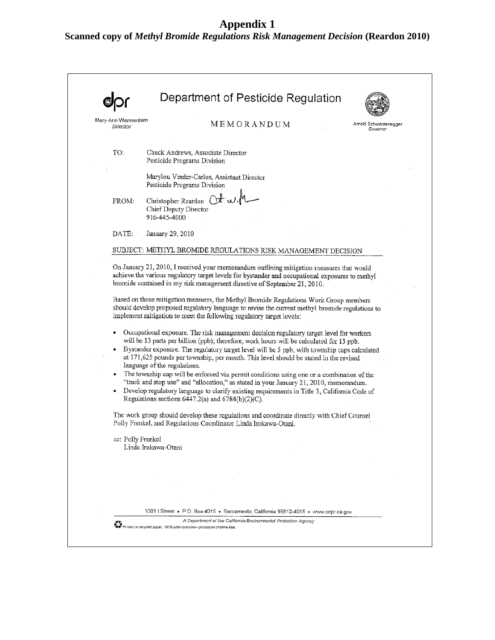## **Appendix 1**

**Scanned copy of** *Methyl Bromide Regulations Risk Management Decision* **(Reardon 2010)**

|                                | Department of Pesticide Regulation                                                                                                                                                                                                                                                                                                                                                                                                                                                                                                                                                                                                                                                                                                                                                                                                                                                                                                                                                                                                                                                                                                                                                                                  |
|--------------------------------|---------------------------------------------------------------------------------------------------------------------------------------------------------------------------------------------------------------------------------------------------------------------------------------------------------------------------------------------------------------------------------------------------------------------------------------------------------------------------------------------------------------------------------------------------------------------------------------------------------------------------------------------------------------------------------------------------------------------------------------------------------------------------------------------------------------------------------------------------------------------------------------------------------------------------------------------------------------------------------------------------------------------------------------------------------------------------------------------------------------------------------------------------------------------------------------------------------------------|
| Mary-Ann Warmerdam<br>Director | MEMORANDUM<br>Arnold Schwarzenegger<br>Gavernor                                                                                                                                                                                                                                                                                                                                                                                                                                                                                                                                                                                                                                                                                                                                                                                                                                                                                                                                                                                                                                                                                                                                                                     |
| TO:                            | Chuck Andrews, Associate Director<br>Pesticide Programs Division                                                                                                                                                                                                                                                                                                                                                                                                                                                                                                                                                                                                                                                                                                                                                                                                                                                                                                                                                                                                                                                                                                                                                    |
|                                | Marylou Verder-Carlos, Assistant Director<br>Pesticide Programs Division                                                                                                                                                                                                                                                                                                                                                                                                                                                                                                                                                                                                                                                                                                                                                                                                                                                                                                                                                                                                                                                                                                                                            |
| FROM:                          | Christopher Reardon<br>Chief Deputy Director<br>916-445-4000                                                                                                                                                                                                                                                                                                                                                                                                                                                                                                                                                                                                                                                                                                                                                                                                                                                                                                                                                                                                                                                                                                                                                        |
| DATE:                          | January 29, 2010                                                                                                                                                                                                                                                                                                                                                                                                                                                                                                                                                                                                                                                                                                                                                                                                                                                                                                                                                                                                                                                                                                                                                                                                    |
|                                | SUBJECT: METHYL BROMIDE REGULATIONS RISK MANAGEMENT DECISION                                                                                                                                                                                                                                                                                                                                                                                                                                                                                                                                                                                                                                                                                                                                                                                                                                                                                                                                                                                                                                                                                                                                                        |
|                                | achieve the various regulatory target levels for bystander and occupational exposures to methyl<br>bromide contained in my risk management directive of September 21, 2010.<br>Based on those mitigation measures, the Methyl Bromide Regulations Work Group members<br>should develop proposed regulatory language to revise the current methyl bromide regulations to<br>implement mitigation to meet the following regulatory target levels:<br>Occupational exposure. The risk management decision regulatory target level for workers<br>will be 13 parts per billion (ppb); therefore, work hours will be calculated for 13 ppb.<br>• Bystander exposure. The regulatory target level will be 5 ppb, with township caps calculated<br>at 171,625 pounds per township, per month. This level should be stated in the revised<br>language of the regulations.<br>• The township cap will be enforced via permit conditions using one or a combination of the<br>"track and stop use" and "allocation," as stated in your January 21, 2010, memorandum.<br>Develop regulatory language to clarify existing requirements in Title 3, California Code of<br>Regulations sections $6447.2(a)$ and $6784(b)(2)(C)$ . |
|                                | The work group should develop these regulations and coordinate directly with Chief Counsel<br>Polly Frenkel, and Regulations Coordinator Linda Irokawa-Otani.                                                                                                                                                                                                                                                                                                                                                                                                                                                                                                                                                                                                                                                                                                                                                                                                                                                                                                                                                                                                                                                       |
| cc: Polly Frenkel              | Linda Irokawa-Otani                                                                                                                                                                                                                                                                                                                                                                                                                                                                                                                                                                                                                                                                                                                                                                                                                                                                                                                                                                                                                                                                                                                                                                                                 |
|                                |                                                                                                                                                                                                                                                                                                                                                                                                                                                                                                                                                                                                                                                                                                                                                                                                                                                                                                                                                                                                                                                                                                                                                                                                                     |
|                                |                                                                                                                                                                                                                                                                                                                                                                                                                                                                                                                                                                                                                                                                                                                                                                                                                                                                                                                                                                                                                                                                                                                                                                                                                     |
|                                |                                                                                                                                                                                                                                                                                                                                                                                                                                                                                                                                                                                                                                                                                                                                                                                                                                                                                                                                                                                                                                                                                                                                                                                                                     |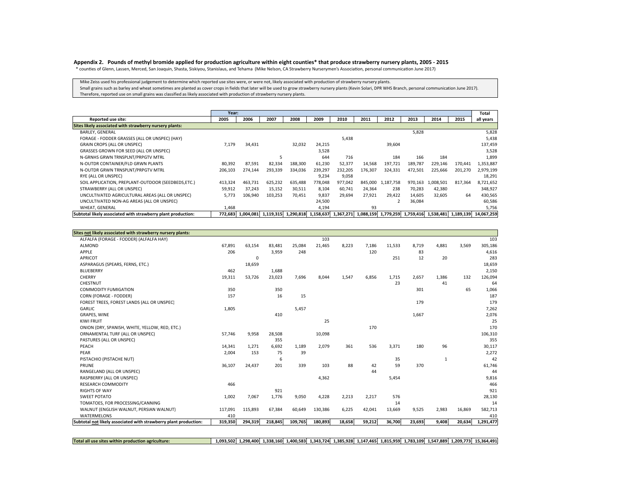#### Appendix 2. Pounds of methyl bromide applied for production agriculture within eight counties\* that produce strawberry nursery plants, 2005 - 2015

\* counties of Glenn, Lassen, Merced, San Joaquin, Shasta, Siskiyou, Stanislaus, and Tehama (Mike Nelson, CA Strawberry Nurserymen's Association, personal communication June 2017)

Mike Zeiss used his professional judgement to determine which reported use sites were, or were not, likely associated with production of strawberry nursery plants.

Small grains such as barley and wheat sometimes are planted as cover crops in fields that later will be used to grow strawberry nursery plants (Kevin Solari, DPR WHS Branch, personal communication June 2017). Therefore, reported use on small grains was classified as likely associated with production of strawberry nursery plants.

|                                                              | Year:   |                                                                     |         |         |         |         |         |                                         |         |           |         | Total      |
|--------------------------------------------------------------|---------|---------------------------------------------------------------------|---------|---------|---------|---------|---------|-----------------------------------------|---------|-----------|---------|------------|
| Reported use site:                                           | 2005    | 2006                                                                | 2007    | 2008    | 2009    | 2010    | 2011    | 2012                                    | 2013    | 2014      | 2015    | all years  |
| Sites likely associated with strawberry nursery plants:      |         |                                                                     |         |         |         |         |         |                                         |         |           |         |            |
| <b>BARLEY, GENERAL</b>                                       |         |                                                                     |         |         |         |         |         |                                         | 5,828   |           |         | 5,828      |
| FORAGE - FODDER GRASSES (ALL OR UNSPEC) (HAY)                |         |                                                                     |         |         |         | 5,438   |         |                                         |         |           |         | 5,438      |
| GRAIN CROPS (ALL OR UNSPEC)                                  | 7,179   | 34,431                                                              |         | 32,032  | 24.215  |         |         | 39,604                                  |         |           |         | 137,459    |
| GRASSES GROWN FOR SEED (ALL OR UNSPEC)                       |         |                                                                     |         |         | 3.528   |         |         |                                         |         |           |         | 3,528      |
| N-GRNHS GRWN TRNSPLNT/PRPGTV MTRL                            |         |                                                                     | 5       |         | 644     | 716     |         | 184                                     | 166     | 184       |         | 1,899      |
| N-OUTDR CONTAINER/FLD GRWN PLANTS                            | 80,392  | 87,591                                                              | 82,334  | 188,300 | 61,230  | 52,377  | 14,568  | 197,721                                 | 189,787 | 229,146   | 170,441 | 1,353,887  |
| N-OUTDR GRWN TRNSPLNT/PRPGTV MTRL                            | 206,103 | 274,144                                                             | 293,339 | 334,036 | 239,297 | 232,205 | 176,307 | 324,331                                 | 472,501 | 225,666   | 201,270 | 2,979,199  |
| RYE (ALL OR UNSPEC)                                          |         |                                                                     |         |         | 9.234   | 9,058   |         |                                         |         |           |         | 18,291     |
| SOIL APPLICATION, PREPLANT-OUTDOOR (SEEDBEDS,ETC.)           | 413,324 | 463.731                                                             | 625,232 | 635,488 | 778,048 | 977,042 | 845,000 | 1,187,758                               | 970,163 | 1,008,501 | 817,364 | 8,721,652  |
| STRAWBERRY (ALL OR UNSPEC)                                   | 59,912  | 37,243                                                              | 15,152  | 30,511  | 8,104   | 60,741  | 24,364  | 238                                     | 70,283  | 42,380    |         | 348,927    |
| UNCULTIVATED AGRICULTURAL AREAS (ALL OR UNSPEC)              | 5,773   | 106,940                                                             | 103,253 | 70,451  | 9,837   | 29,694  | 27,921  | 29,422                                  | 14,605  | 32,605    | 64      | 430,565    |
| UNCULTIVATED NON-AG AREAS (ALL OR UNSPEC)                    |         |                                                                     |         |         | 24,500  |         |         |                                         | 36,084  |           |         | 60,586     |
| WHEAT, GENERAL                                               | 1,468   |                                                                     |         |         | 4,194   |         | 93      |                                         |         |           |         | 5,756      |
| Subtotal likely associated with strawberry plant production: |         | 772,683 1,004,081 1,119,315 1,290,818 1,158,637 1,367,271 1,088,159 |         |         |         |         |         | 1,779,259 1,759,416 1,538,481 1,189,139 |         |           |         | 14,067,259 |

| ALFALFA (FORAGE - FODDER) (ALFALFA HAY)<br>103<br>ALMOND<br>67,891<br>63,154<br>83,481<br>25,084<br>21,465<br>8,223<br>7,186<br>11,533<br>8,719<br>4,881<br>3,569<br>APPLE<br>206<br>120<br>3,959<br>248<br>83<br><b>APRICOT</b><br>12<br>251<br>20<br>0<br>ASPARAGUS (SPEARS, FERNS, ETC.)<br>18,659<br><b>BLUEBERRY</b><br>1,688<br>462<br>CHERRY<br>23,023<br>7,696<br>8,044<br>6,856<br>1,715<br>1,386<br>19,311<br>53,726<br>1,547<br>2,657<br>132<br>CHESTNUT<br>23<br>41<br>65<br><b>COMMODITY FUMIGATION</b><br>350<br>350<br>301<br>16<br>15<br>CORN (FORAGE - FODDER)<br>157<br>179<br>FOREST TREES, FOREST LANDS (ALL OR UNSPEC)<br><b>GARLIC</b><br>1,805<br>5,457<br><b>GRAPES, WINE</b><br>410<br>1,667<br><b>KIWI FRUIT</b><br>25<br>170<br>ONION (DRY, SPANISH, WHITE, YELLOW, RED, ETC.)<br>ORNAMENTAL TURF (ALL OR UNSPEC)<br>57,746<br>9,958<br>28,508<br>10,098<br>PASTURES (ALL OR UNSPEC)<br>355<br>536<br>96<br>PEACH<br>14,341<br>6,692<br>1,189<br>2,079<br>361<br>3,371<br>180<br>1,271<br>PEAR<br>153<br>39<br>2,004<br>75<br>6<br>35<br>PISTACHIO (PISTACHE NUT)<br>$\mathbf{1}$<br>339<br>88<br>59<br>370<br>PRUNF<br>201<br>103<br>42<br>36,107<br>24,437<br>RANGELAND (ALL OR UNSPEC)<br>44<br>5,454<br>RASPBERRY (ALL OR UNSPEC)<br>4,362<br><b>RESEARCH COMMODITY</b><br>466<br>921<br><b>RIGHTS OF WAY</b><br>2,213<br><b>SWEET POTATO</b><br>7,067<br>1,776<br>9,050<br>4,228<br>2,217<br>576<br>1,002<br>TOMATOES, FOR PROCESSING/CANNING<br>14<br>6,225<br>WALNUT (ENGLISH WALNUT, PERSIAN WALNUT)<br>117,091<br>60,649<br>130,386<br>42,041<br>13,669<br>2,983<br>115,893<br>67,384<br>9,525<br>16,869<br><b>WATERMELONS</b><br>410<br>109,765<br>180,893<br>18,658<br>59,212<br>36,700<br>Subtotal not likely associated with strawberry plant production:<br>294,319<br>218,845<br>23,693<br>9,408<br>20,634<br>319,350 | Sites not likely associated with strawberry nursery plants: |  |  |  |  |  |           |
|-----------------------------------------------------------------------------------------------------------------------------------------------------------------------------------------------------------------------------------------------------------------------------------------------------------------------------------------------------------------------------------------------------------------------------------------------------------------------------------------------------------------------------------------------------------------------------------------------------------------------------------------------------------------------------------------------------------------------------------------------------------------------------------------------------------------------------------------------------------------------------------------------------------------------------------------------------------------------------------------------------------------------------------------------------------------------------------------------------------------------------------------------------------------------------------------------------------------------------------------------------------------------------------------------------------------------------------------------------------------------------------------------------------------------------------------------------------------------------------------------------------------------------------------------------------------------------------------------------------------------------------------------------------------------------------------------------------------------------------------------------------------------------------------------------------------------------------------------------------------|-------------------------------------------------------------|--|--|--|--|--|-----------|
|                                                                                                                                                                                                                                                                                                                                                                                                                                                                                                                                                                                                                                                                                                                                                                                                                                                                                                                                                                                                                                                                                                                                                                                                                                                                                                                                                                                                                                                                                                                                                                                                                                                                                                                                                                                                                                                                 |                                                             |  |  |  |  |  | 103       |
|                                                                                                                                                                                                                                                                                                                                                                                                                                                                                                                                                                                                                                                                                                                                                                                                                                                                                                                                                                                                                                                                                                                                                                                                                                                                                                                                                                                                                                                                                                                                                                                                                                                                                                                                                                                                                                                                 |                                                             |  |  |  |  |  | 305,186   |
|                                                                                                                                                                                                                                                                                                                                                                                                                                                                                                                                                                                                                                                                                                                                                                                                                                                                                                                                                                                                                                                                                                                                                                                                                                                                                                                                                                                                                                                                                                                                                                                                                                                                                                                                                                                                                                                                 |                                                             |  |  |  |  |  | 4,616     |
|                                                                                                                                                                                                                                                                                                                                                                                                                                                                                                                                                                                                                                                                                                                                                                                                                                                                                                                                                                                                                                                                                                                                                                                                                                                                                                                                                                                                                                                                                                                                                                                                                                                                                                                                                                                                                                                                 |                                                             |  |  |  |  |  | 283       |
|                                                                                                                                                                                                                                                                                                                                                                                                                                                                                                                                                                                                                                                                                                                                                                                                                                                                                                                                                                                                                                                                                                                                                                                                                                                                                                                                                                                                                                                                                                                                                                                                                                                                                                                                                                                                                                                                 |                                                             |  |  |  |  |  | 18,659    |
|                                                                                                                                                                                                                                                                                                                                                                                                                                                                                                                                                                                                                                                                                                                                                                                                                                                                                                                                                                                                                                                                                                                                                                                                                                                                                                                                                                                                                                                                                                                                                                                                                                                                                                                                                                                                                                                                 |                                                             |  |  |  |  |  | 2,150     |
|                                                                                                                                                                                                                                                                                                                                                                                                                                                                                                                                                                                                                                                                                                                                                                                                                                                                                                                                                                                                                                                                                                                                                                                                                                                                                                                                                                                                                                                                                                                                                                                                                                                                                                                                                                                                                                                                 |                                                             |  |  |  |  |  | 126,094   |
|                                                                                                                                                                                                                                                                                                                                                                                                                                                                                                                                                                                                                                                                                                                                                                                                                                                                                                                                                                                                                                                                                                                                                                                                                                                                                                                                                                                                                                                                                                                                                                                                                                                                                                                                                                                                                                                                 |                                                             |  |  |  |  |  | 64        |
|                                                                                                                                                                                                                                                                                                                                                                                                                                                                                                                                                                                                                                                                                                                                                                                                                                                                                                                                                                                                                                                                                                                                                                                                                                                                                                                                                                                                                                                                                                                                                                                                                                                                                                                                                                                                                                                                 |                                                             |  |  |  |  |  | 1,066     |
|                                                                                                                                                                                                                                                                                                                                                                                                                                                                                                                                                                                                                                                                                                                                                                                                                                                                                                                                                                                                                                                                                                                                                                                                                                                                                                                                                                                                                                                                                                                                                                                                                                                                                                                                                                                                                                                                 |                                                             |  |  |  |  |  | 187       |
|                                                                                                                                                                                                                                                                                                                                                                                                                                                                                                                                                                                                                                                                                                                                                                                                                                                                                                                                                                                                                                                                                                                                                                                                                                                                                                                                                                                                                                                                                                                                                                                                                                                                                                                                                                                                                                                                 |                                                             |  |  |  |  |  | 179       |
|                                                                                                                                                                                                                                                                                                                                                                                                                                                                                                                                                                                                                                                                                                                                                                                                                                                                                                                                                                                                                                                                                                                                                                                                                                                                                                                                                                                                                                                                                                                                                                                                                                                                                                                                                                                                                                                                 |                                                             |  |  |  |  |  | 7,262     |
|                                                                                                                                                                                                                                                                                                                                                                                                                                                                                                                                                                                                                                                                                                                                                                                                                                                                                                                                                                                                                                                                                                                                                                                                                                                                                                                                                                                                                                                                                                                                                                                                                                                                                                                                                                                                                                                                 |                                                             |  |  |  |  |  | 2,076     |
|                                                                                                                                                                                                                                                                                                                                                                                                                                                                                                                                                                                                                                                                                                                                                                                                                                                                                                                                                                                                                                                                                                                                                                                                                                                                                                                                                                                                                                                                                                                                                                                                                                                                                                                                                                                                                                                                 |                                                             |  |  |  |  |  | 25        |
|                                                                                                                                                                                                                                                                                                                                                                                                                                                                                                                                                                                                                                                                                                                                                                                                                                                                                                                                                                                                                                                                                                                                                                                                                                                                                                                                                                                                                                                                                                                                                                                                                                                                                                                                                                                                                                                                 |                                                             |  |  |  |  |  | 170       |
|                                                                                                                                                                                                                                                                                                                                                                                                                                                                                                                                                                                                                                                                                                                                                                                                                                                                                                                                                                                                                                                                                                                                                                                                                                                                                                                                                                                                                                                                                                                                                                                                                                                                                                                                                                                                                                                                 |                                                             |  |  |  |  |  | 106,310   |
|                                                                                                                                                                                                                                                                                                                                                                                                                                                                                                                                                                                                                                                                                                                                                                                                                                                                                                                                                                                                                                                                                                                                                                                                                                                                                                                                                                                                                                                                                                                                                                                                                                                                                                                                                                                                                                                                 |                                                             |  |  |  |  |  | 355       |
|                                                                                                                                                                                                                                                                                                                                                                                                                                                                                                                                                                                                                                                                                                                                                                                                                                                                                                                                                                                                                                                                                                                                                                                                                                                                                                                                                                                                                                                                                                                                                                                                                                                                                                                                                                                                                                                                 |                                                             |  |  |  |  |  | 30,117    |
|                                                                                                                                                                                                                                                                                                                                                                                                                                                                                                                                                                                                                                                                                                                                                                                                                                                                                                                                                                                                                                                                                                                                                                                                                                                                                                                                                                                                                                                                                                                                                                                                                                                                                                                                                                                                                                                                 |                                                             |  |  |  |  |  | 2,272     |
|                                                                                                                                                                                                                                                                                                                                                                                                                                                                                                                                                                                                                                                                                                                                                                                                                                                                                                                                                                                                                                                                                                                                                                                                                                                                                                                                                                                                                                                                                                                                                                                                                                                                                                                                                                                                                                                                 |                                                             |  |  |  |  |  | 42        |
|                                                                                                                                                                                                                                                                                                                                                                                                                                                                                                                                                                                                                                                                                                                                                                                                                                                                                                                                                                                                                                                                                                                                                                                                                                                                                                                                                                                                                                                                                                                                                                                                                                                                                                                                                                                                                                                                 |                                                             |  |  |  |  |  | 61,746    |
|                                                                                                                                                                                                                                                                                                                                                                                                                                                                                                                                                                                                                                                                                                                                                                                                                                                                                                                                                                                                                                                                                                                                                                                                                                                                                                                                                                                                                                                                                                                                                                                                                                                                                                                                                                                                                                                                 |                                                             |  |  |  |  |  | 44        |
|                                                                                                                                                                                                                                                                                                                                                                                                                                                                                                                                                                                                                                                                                                                                                                                                                                                                                                                                                                                                                                                                                                                                                                                                                                                                                                                                                                                                                                                                                                                                                                                                                                                                                                                                                                                                                                                                 |                                                             |  |  |  |  |  | 9,816     |
|                                                                                                                                                                                                                                                                                                                                                                                                                                                                                                                                                                                                                                                                                                                                                                                                                                                                                                                                                                                                                                                                                                                                                                                                                                                                                                                                                                                                                                                                                                                                                                                                                                                                                                                                                                                                                                                                 |                                                             |  |  |  |  |  | 466       |
|                                                                                                                                                                                                                                                                                                                                                                                                                                                                                                                                                                                                                                                                                                                                                                                                                                                                                                                                                                                                                                                                                                                                                                                                                                                                                                                                                                                                                                                                                                                                                                                                                                                                                                                                                                                                                                                                 |                                                             |  |  |  |  |  | 921       |
|                                                                                                                                                                                                                                                                                                                                                                                                                                                                                                                                                                                                                                                                                                                                                                                                                                                                                                                                                                                                                                                                                                                                                                                                                                                                                                                                                                                                                                                                                                                                                                                                                                                                                                                                                                                                                                                                 |                                                             |  |  |  |  |  | 28,130    |
|                                                                                                                                                                                                                                                                                                                                                                                                                                                                                                                                                                                                                                                                                                                                                                                                                                                                                                                                                                                                                                                                                                                                                                                                                                                                                                                                                                                                                                                                                                                                                                                                                                                                                                                                                                                                                                                                 |                                                             |  |  |  |  |  | 14        |
|                                                                                                                                                                                                                                                                                                                                                                                                                                                                                                                                                                                                                                                                                                                                                                                                                                                                                                                                                                                                                                                                                                                                                                                                                                                                                                                                                                                                                                                                                                                                                                                                                                                                                                                                                                                                                                                                 |                                                             |  |  |  |  |  | 582,713   |
|                                                                                                                                                                                                                                                                                                                                                                                                                                                                                                                                                                                                                                                                                                                                                                                                                                                                                                                                                                                                                                                                                                                                                                                                                                                                                                                                                                                                                                                                                                                                                                                                                                                                                                                                                                                                                                                                 |                                                             |  |  |  |  |  | 410       |
|                                                                                                                                                                                                                                                                                                                                                                                                                                                                                                                                                                                                                                                                                                                                                                                                                                                                                                                                                                                                                                                                                                                                                                                                                                                                                                                                                                                                                                                                                                                                                                                                                                                                                                                                                                                                                                                                 |                                                             |  |  |  |  |  | 1,291,477 |

**Total all use sites withinproduction agriculture: 1,093,502 1,298,400 1,338,160 1,400,583 1,343,724 1,385,928 1,147,465 1,815,959 1,783,109 1,547,889 1,209,773 15,364,491**